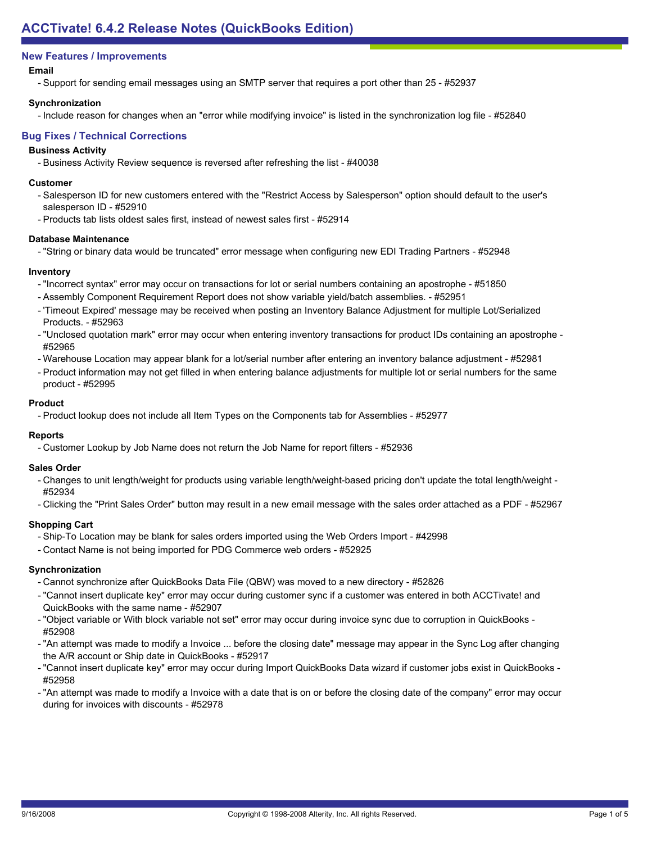# **New Features / Improvements**

### **Email**

- Support for sending email messages using an SMTP server that requires a port other than 25 - #52937

### **Synchronization**

- Include reason for changes when an "error while modifying invoice" is listed in the synchronization log file - #52840

### **Bug Fixes / Technical Corrections**

#### **Business Activity**

- Business Activity Review sequence is reversed after refreshing the list - #40038

#### **Customer**

- Salesperson ID for new customers entered with the "Restrict Access by Salesperson" option should default to the user's salesperson ID - #52910
- Products tab lists oldest sales first, instead of newest sales first #52914

#### **Database Maintenance**

- "String or binary data would be truncated" error message when configuring new EDI Trading Partners - #52948

#### **Inventory**

- "Incorrect syntax" error may occur on transactions for lot or serial numbers containing an apostrophe #51850
- Assembly Component Requirement Report does not show variable yield/batch assemblies. #52951
- 'Timeout Expired' message may be received when posting an Inventory Balance Adjustment for multiple Lot/Serialized Products. - #52963
- "Unclosed quotation mark" error may occur when entering inventory transactions for product IDs containing an apostrophe -#52965
- Warehouse Location may appear blank for a lot/serial number after entering an inventory balance adjustment #52981
- Product information may not get filled in when entering balance adjustments for multiple lot or serial numbers for the same product - #52995

#### **Product**

- Product lookup does not include all Item Types on the Components tab for Assemblies - #52977

# **Reports**

- Customer Lookup by Job Name does not return the Job Name for report filters - #52936

# **Sales Order**

- Changes to unit length/weight for products using variable length/weight-based pricing don't update the total length/weight -#52934
- Clicking the "Print Sales Order" button may result in a new email message with the sales order attached as a PDF #52967

# **Shopping Cart**

- Ship-To Location may be blank for sales orders imported using the Web Orders Import #42998
- Contact Name is not being imported for PDG Commerce web orders #52925

# **Synchronization**

- Cannot synchronize after QuickBooks Data File (QBW) was moved to a new directory #52826
- "Cannot insert duplicate key" error may occur during customer sync if a customer was entered in both ACCTivate! and QuickBooks with the same name - #52907
- "Object variable or With block variable not set" error may occur during invoice sync due to corruption in QuickBooks -#52908
- "An attempt was made to modify a Invoice ... before the closing date" message may appear in the Sync Log after changing the A/R account or Ship date in QuickBooks - #52917
- "Cannot insert duplicate key" error may occur during Import QuickBooks Data wizard if customer jobs exist in QuickBooks -#52958
- "An attempt was made to modify a Invoice with a date that is on or before the closing date of the company" error may occur during for invoices with discounts - #52978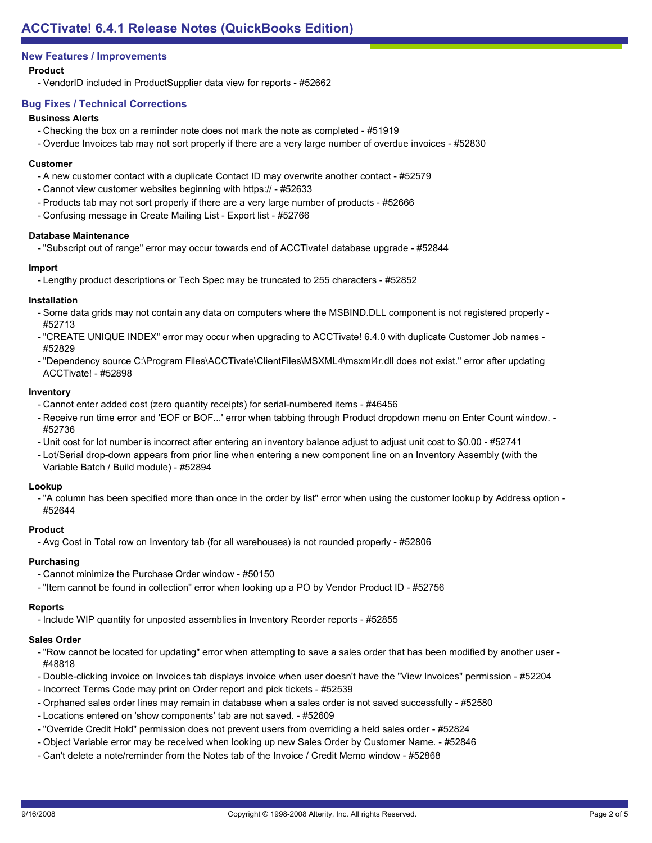# **New Features / Improvements**

# **Product**

- VendorID included in ProductSupplier data view for reports - #52662

# **Bug Fixes / Technical Corrections**

#### **Business Alerts**

- Checking the box on a reminder note does not mark the note as completed #51919
- Overdue Invoices tab may not sort properly if there are a very large number of overdue invoices #52830

#### **Customer**

- A new customer contact with a duplicate Contact ID may overwrite another contact #52579
- Cannot view customer websites beginning with https:// #52633
- Products tab may not sort properly if there are a very large number of products #52666
- Confusing message in Create Mailing List Export list #52766

#### **Database Maintenance**

- "Subscript out of range" error may occur towards end of ACCTivate! database upgrade - #52844

#### **Import**

- Lengthy product descriptions or Tech Spec may be truncated to 255 characters - #52852

#### **Installation**

- Some data grids may not contain any data on computers where the MSBIND.DLL component is not registered properly -#52713
- "CREATE UNIQUE INDEX" error may occur when upgrading to ACCTivate! 6.4.0 with duplicate Customer Job names -#52829
- "Dependency source C:\Program Files\ACCTivate\ClientFiles\MSXML4\msxml4r.dll does not exist." error after updating ACCTivate! - #52898

# **Inventory**

- Cannot enter added cost (zero quantity receipts) for serial-numbered items #46456
- Receive run time error and 'EOF or BOF...' error when tabbing through Product dropdown menu on Enter Count window. -#52736
- Unit cost for lot number is incorrect after entering an inventory balance adjust to adjust unit cost to \$0.00 #52741
- Lot/Serial drop-down appears from prior line when entering a new component line on an Inventory Assembly (with the Variable Batch / Build module) - #52894

# **Lookup**

- "A column has been specified more than once in the order by list" error when using the customer lookup by Address option -#52644

# **Product**

- Avg Cost in Total row on Inventory tab (for all warehouses) is not rounded properly - #52806

# **Purchasing**

- Cannot minimize the Purchase Order window #50150
- "Item cannot be found in collection" error when looking up a PO by Vendor Product ID #52756

#### **Reports**

- Include WIP quantity for unposted assemblies in Inventory Reorder reports - #52855

# **Sales Order**

- "Row cannot be located for updating" error when attempting to save a sales order that has been modified by another user -#48818
- Double-clicking invoice on Invoices tab displays invoice when user doesn't have the "View Invoices" permission #52204
- Incorrect Terms Code may print on Order report and pick tickets #52539
- Orphaned sales order lines may remain in database when a sales order is not saved successfully #52580
- Locations entered on 'show components' tab are not saved. #52609
- "Override Credit Hold" permission does not prevent users from overriding a held sales order #52824
- Object Variable error may be received when looking up new Sales Order by Customer Name. #52846
- Can't delete a note/reminder from the Notes tab of the Invoice / Credit Memo window #52868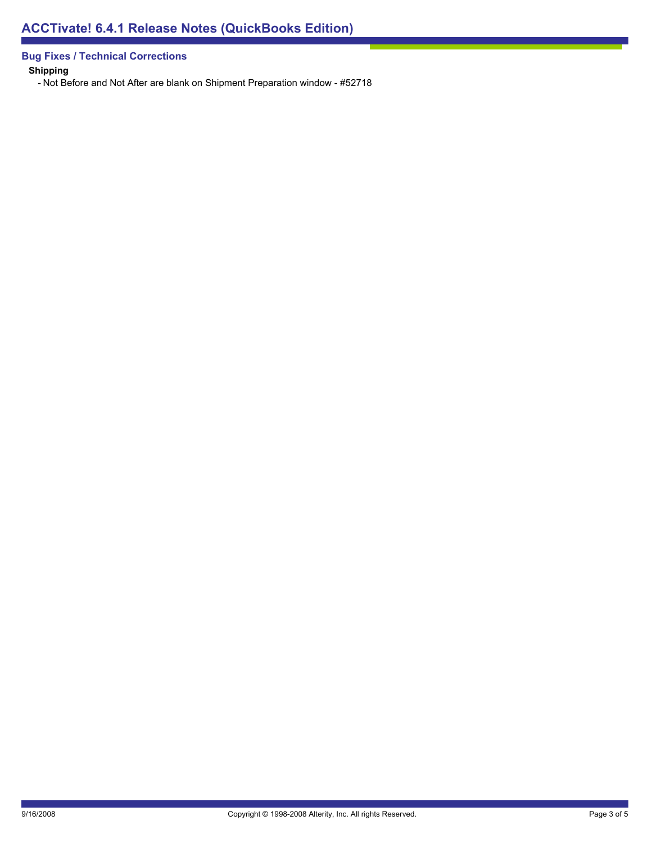**Bug Fixes / Technical Corrections**

**Shipping**

- Not Before and Not After are blank on Shipment Preparation window - #52718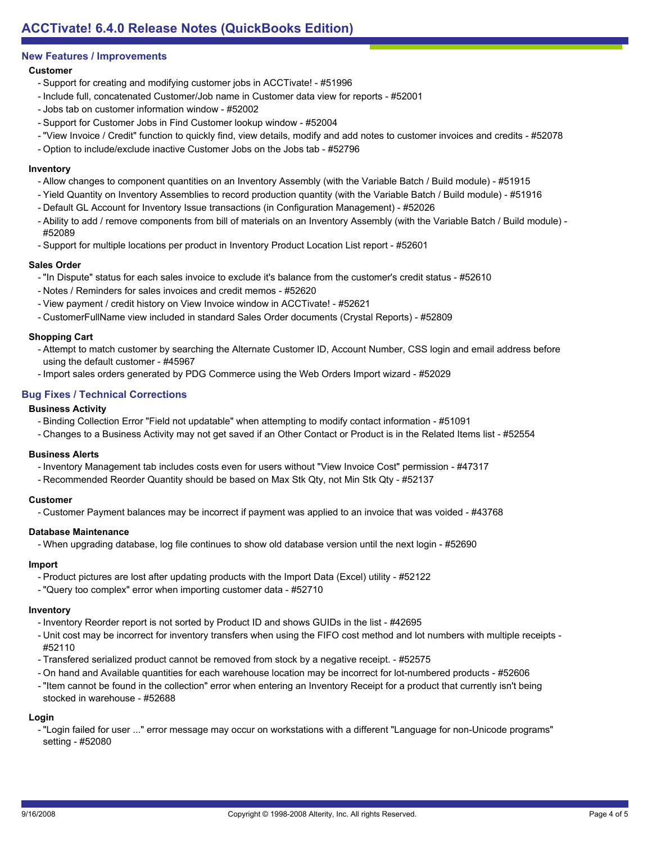# **New Features / Improvements**

# **Customer**

- Support for creating and modifying customer jobs in ACCTivate! #51996
- Include full, concatenated Customer/Job name in Customer data view for reports #52001
- Jobs tab on customer information window #52002
- Support for Customer Jobs in Find Customer lookup window #52004
- "View Invoice / Credit" function to quickly find, view details, modify and add notes to customer invoices and credits #52078
- Option to include/exclude inactive Customer Jobs on the Jobs tab #52796

#### **Inventory**

- Allow changes to component quantities on an Inventory Assembly (with the Variable Batch / Build module) #51915
- Yield Quantity on Inventory Assemblies to record production quantity (with the Variable Batch / Build module) #51916
- Default GL Account for Inventory Issue transactions (in Configuration Management) #52026
- Ability to add / remove components from bill of materials on an Inventory Assembly (with the Variable Batch / Build module) -#52089
- Support for multiple locations per product in Inventory Product Location List report #52601

#### **Sales Order**

- "In Dispute" status for each sales invoice to exclude it's balance from the customer's credit status #52610
- Notes / Reminders for sales invoices and credit memos #52620
- View payment / credit history on View Invoice window in ACCTivate! #52621
- CustomerFullName view included in standard Sales Order documents (Crystal Reports) #52809

#### **Shopping Cart**

- Attempt to match customer by searching the Alternate Customer ID, Account Number, CSS login and email address before using the default customer - #45967
- Import sales orders generated by PDG Commerce using the Web Orders Import wizard #52029

# **Bug Fixes / Technical Corrections**

#### **Business Activity**

- Binding Collection Error "Field not updatable" when attempting to modify contact information #51091
- Changes to a Business Activity may not get saved if an Other Contact or Product is in the Related Items list #52554

#### **Business Alerts**

- Inventory Management tab includes costs even for users without "View Invoice Cost" permission #47317
- Recommended Reorder Quantity should be based on Max Stk Qty, not Min Stk Qty #52137

#### **Customer**

- Customer Payment balances may be incorrect if payment was applied to an invoice that was voided - #43768

#### **Database Maintenance**

- When upgrading database, log file continues to show old database version until the next login - #52690

# **Import**

- Product pictures are lost after updating products with the Import Data (Excel) utility #52122
- "Query too complex" error when importing customer data #52710

# **Inventory**

- Inventory Reorder report is not sorted by Product ID and shows GUIDs in the list #42695
- Unit cost may be incorrect for inventory transfers when using the FIFO cost method and lot numbers with multiple receipts -#52110
- Transfered serialized product cannot be removed from stock by a negative receipt. #52575
- On hand and Available quantities for each warehouse location may be incorrect for lot-numbered products #52606
- "Item cannot be found in the collection" error when entering an Inventory Receipt for a product that currently isn't being stocked in warehouse - #52688

#### **Login**

- "Login failed for user ..." error message may occur on workstations with a different "Language for non-Unicode programs" setting - #52080